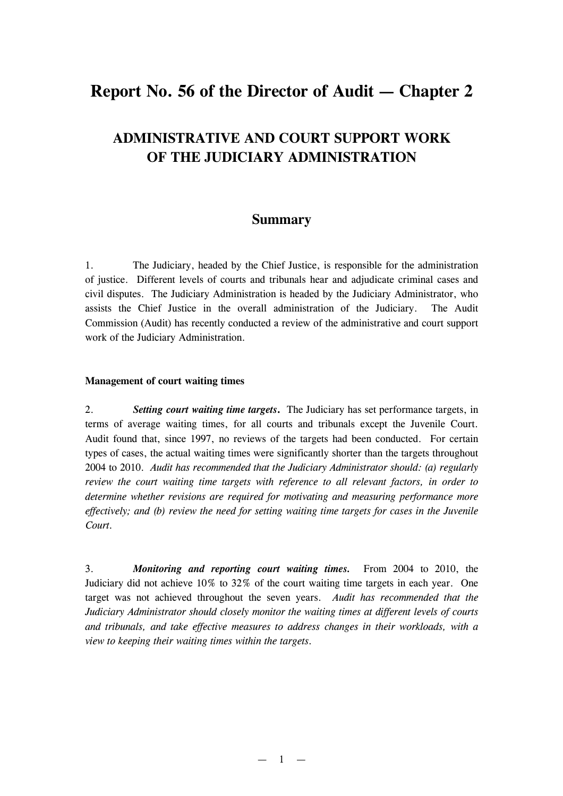## **Report No. 56 of the Director of Audit — Chapter 2**

# **ADMINISTRATIVE AND COURT SUPPORT WORK OF THE JUDICIARY ADMINISTRATION**

### **Summary**

1. The Judiciary, headed by the Chief Justice, is responsible for the administration of justice. Different levels of courts and tribunals hear and adjudicate criminal cases and civil disputes. The Judiciary Administration is headed by the Judiciary Administrator, who assists the Chief Justice in the overall administration of the Judiciary. The Audit Commission (Audit) has recently conducted a review of the administrative and court support work of the Judiciary Administration.

#### **Management of court waiting times**

2. *Setting court waiting time targets***.** The Judiciary has set performance targets, in terms of average waiting times, for all courts and tribunals except the Juvenile Court. Audit found that, since 1997, no reviews of the targets had been conducted. For certain types of cases, the actual waiting times were significantly shorter than the targets throughout 2004 to 2010. *Audit has recommended that the Judiciary Administrator should: (a) regularly review the court waiting time targets with reference to all relevant factors, in order to determine whether revisions are required for motivating and measuring performance more effectively; and (b) review the need for setting waiting time targets for cases in the Juvenile Court.*

3. *Monitoring and reporting court waiting times.* From 2004 to 2010, the Judiciary did not achieve 10% to 32% of the court waiting time targets in each year. One target was not achieved throughout the seven years. *Audit has recommended that the Judiciary Administrator should closely monitor the waiting times at different levels of courts and tribunals, and take effective measures to address changes in their workloads, with a view to keeping their waiting times within the targets.*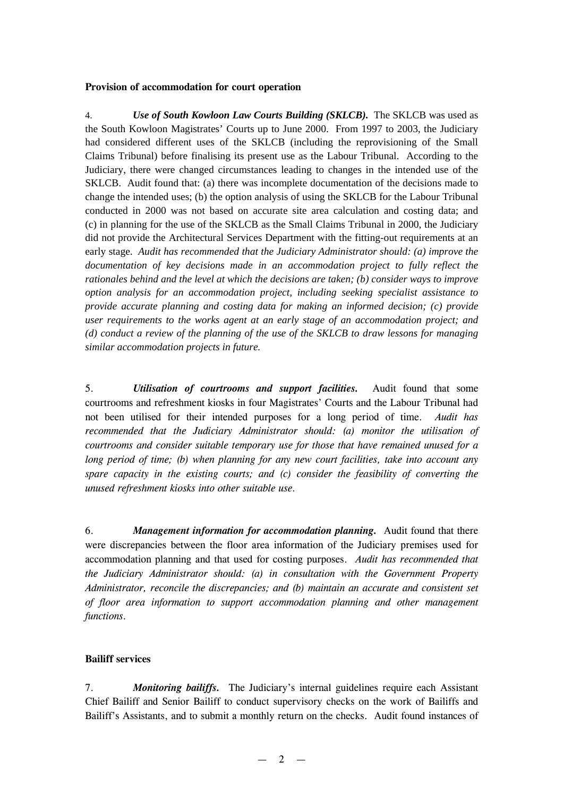#### **Provision of accommodation for court operation**

4. *Use of South Kowloon Law Courts Building (SKLCB).* The SKLCB was used as the South Kowloon Magistrates' Courts up to June 2000. From 1997 to 2003, the Judiciary had considered different uses of the SKLCB (including the reprovisioning of the Small Claims Tribunal) before finalising its present use as the Labour Tribunal. According to the Judiciary, there were changed circumstances leading to changes in the intended use of the SKLCB. Audit found that: (a) there was incomplete documentation of the decisions made to change the intended uses; (b) the option analysis of using the SKLCB for the Labour Tribunal conducted in 2000 was not based on accurate site area calculation and costing data; and (c) in planning for the use of the SKLCB as the Small Claims Tribunal in 2000, the Judiciary did not provide the Architectural Services Department with the fitting-out requirements at an early stage. *Audit has recommended that the Judiciary Administrator should: (a) improve the documentation of key decisions made in an accommodation project to fully reflect the rationales behind and the level at which the decisions are taken; (b) consider ways to improve option analysis for an accommodation project, including seeking specialist assistance to provide accurate planning and costing data for making an informed decision; (c) provide user requirements to the works agent at an early stage of an accommodation project; and (d) conduct a review of the planning of the use of the SKLCB to draw lessons for managing similar accommodation projects in future.*

5. *Utilisation of courtrooms and support facilities.* Audit found that some courtrooms and refreshment kiosks in four Magistrates' Courts and the Labour Tribunal had not been utilised for their intended purposes for a long period of time. *Audit has recommended that the Judiciary Administrator should: (a) monitor the utilisation of courtrooms and consider suitable temporary use for those that have remained unused for a long period of time; (b) when planning for any new court facilities, take into account any spare capacity in the existing courts; and (c) consider the feasibility of converting the unused refreshment kiosks into other suitable use.*

6. *Management information for accommodation planning.* Audit found that there were discrepancies between the floor area information of the Judiciary premises used for accommodation planning and that used for costing purposes. *Audit has recommended that the Judiciary Administrator should: (a) in consultation with the Government Property Administrator, reconcile the discrepancies; and (b) maintain an accurate and consistent set of floor area information to support accommodation planning and other management functions.*

#### **Bailiff services**

7. *Monitoring bailiffs.* The Judiciary's internal guidelines require each Assistant Chief Bailiff and Senior Bailiff to conduct supervisory checks on the work of Bailiffs and Bailiff's Assistants, and to submit a monthly return on the checks. Audit found instances of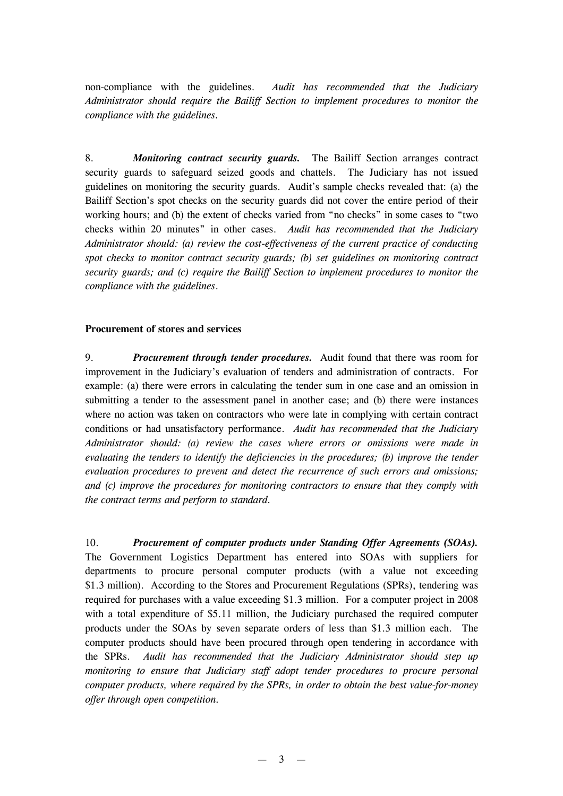non-compliance with the guidelines. *Audit has recommended that the Judiciary Administrator should require the Bailiff Section to implement procedures to monitor the compliance with the guidelines.*

8. *Monitoring contract security guards.* The Bailiff Section arranges contract security guards to safeguard seized goods and chattels. The Judiciary has not issued guidelines on monitoring the security guards. Audit's sample checks revealed that: (a) the Bailiff Section's spot checks on the security guards did not cover the entire period of their working hours; and (b) the extent of checks varied from "no checks" in some cases to "two checks within 20 minutes" in other cases. *Audit has recommended that the Judiciary Administrator should: (a) review the cost-effectiveness of the current practice of conducting spot checks to monitor contract security guards; (b) set guidelines on monitoring contract security guards; and (c) require the Bailiff Section to implement procedures to monitor the compliance with the guidelines*.

#### **Procurement of stores and services**

9. *Procurement through tender procedures.* Audit found that there was room for improvement in the Judiciary's evaluation of tenders and administration of contracts. For example: (a) there were errors in calculating the tender sum in one case and an omission in submitting a tender to the assessment panel in another case; and (b) there were instances where no action was taken on contractors who were late in complying with certain contract conditions or had unsatisfactory performance. *Audit has recommended that the Judiciary Administrator should: (a) review the cases where errors or omissions were made in evaluating the tenders to identify the deficiencies in the procedures; (b) improve the tender evaluation procedures to prevent and detect the recurrence of such errors and omissions; and (c) improve the procedures for monitoring contractors to ensure that they comply with the contract terms and perform to standard.*

10. *Procurement of computer products under Standing Offer Agreements (SOAs).* The Government Logistics Department has entered into SOAs with suppliers for departments to procure personal computer products (with a value not exceeding \$1.3 million). According to the Stores and Procurement Regulations (SPRs), tendering was required for purchases with a value exceeding \$1.3 million. For a computer project in 2008 with a total expenditure of \$5.11 million, the Judiciary purchased the required computer products under the SOAs by seven separate orders of less than \$1.3 million each. The computer products should have been procured through open tendering in accordance with the SPRs. *Audit has recommended that the Judiciary Administrator should step up monitoring to ensure that Judiciary staff adopt tender procedures to procure personal computer products, where required by the SPRs, in order to obtain the best value-for-money offer through open competition.*